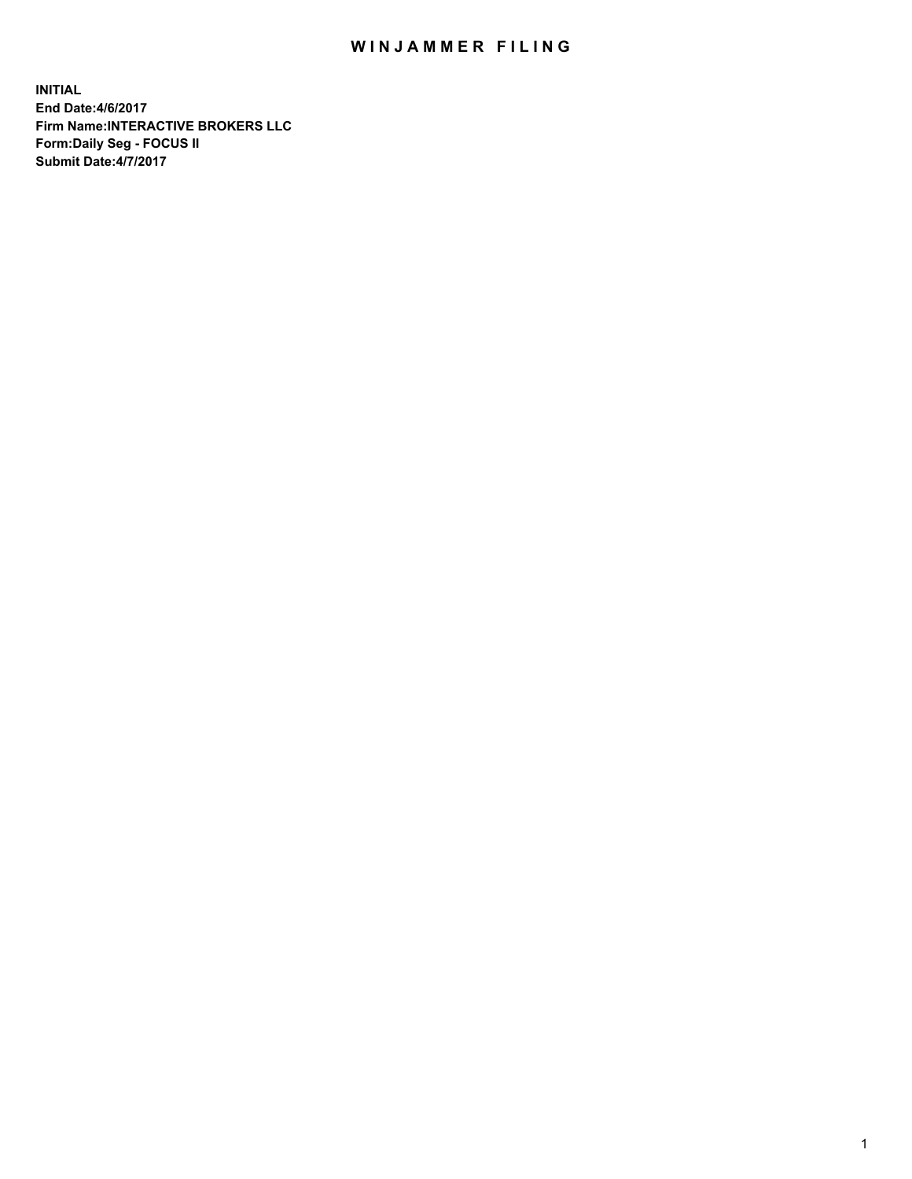## WIN JAMMER FILING

**INITIAL End Date:4/6/2017 Firm Name:INTERACTIVE BROKERS LLC Form:Daily Seg - FOCUS II Submit Date:4/7/2017**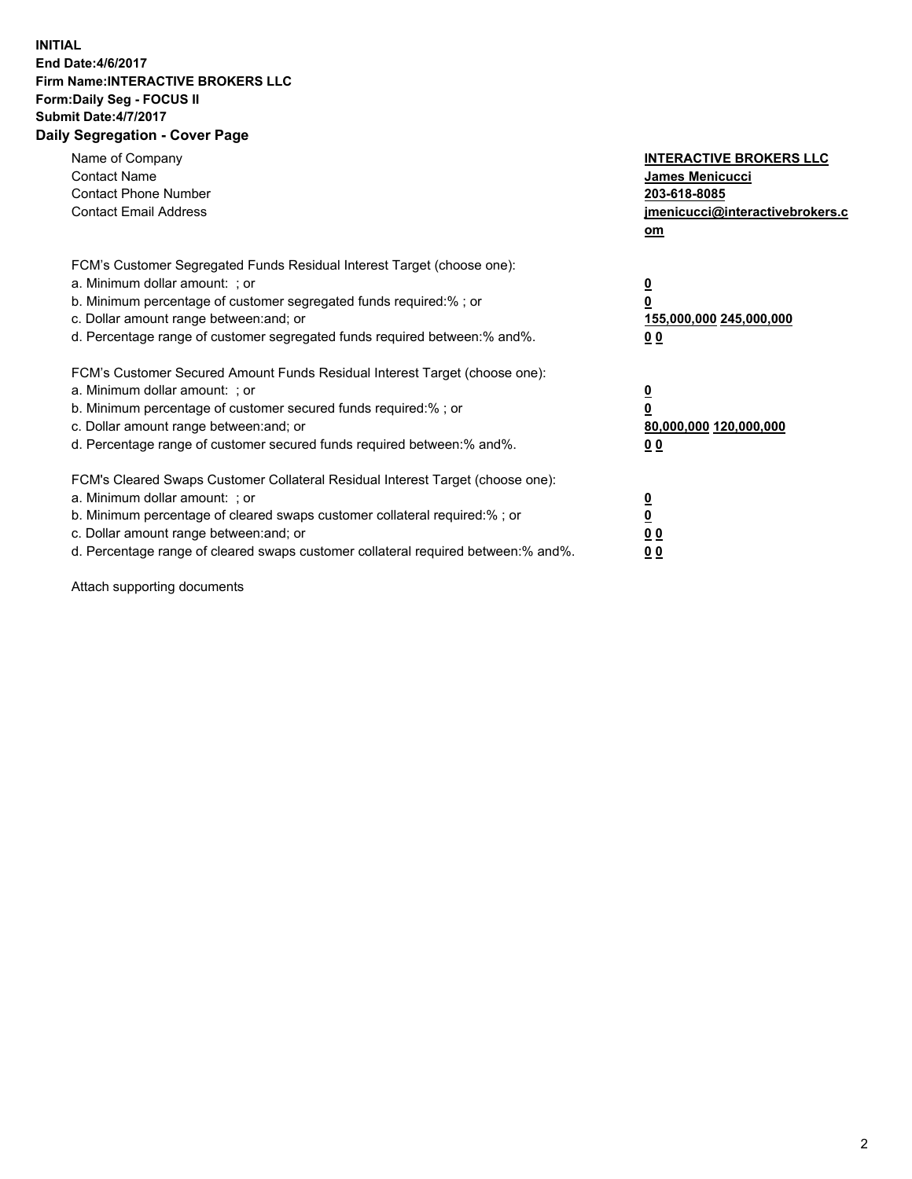## **INITIAL End Date:4/6/2017 Firm Name:INTERACTIVE BROKERS LLC Form:Daily Seg - FOCUS II Submit Date:4/7/2017 Daily Segregation - Cover Page**

| Name of Company<br><b>Contact Name</b><br><b>Contact Phone Number</b><br><b>Contact Email Address</b>                                                                                                                                                                                                                          | <b>INTERACTIVE BROKERS LLC</b><br>James Menicucci<br>203-618-8085<br>jmenicucci@interactivebrokers.c<br>om |
|--------------------------------------------------------------------------------------------------------------------------------------------------------------------------------------------------------------------------------------------------------------------------------------------------------------------------------|------------------------------------------------------------------------------------------------------------|
| FCM's Customer Segregated Funds Residual Interest Target (choose one):<br>a. Minimum dollar amount: ; or<br>b. Minimum percentage of customer segregated funds required:% ; or<br>c. Dollar amount range between: and; or<br>d. Percentage range of customer segregated funds required between:% and%.                         | $\overline{\mathbf{0}}$<br>0<br>155,000,000 245,000,000<br>0 <sub>0</sub>                                  |
| FCM's Customer Secured Amount Funds Residual Interest Target (choose one):<br>a. Minimum dollar amount: ; or<br>b. Minimum percentage of customer secured funds required:%; or<br>c. Dollar amount range between: and; or<br>d. Percentage range of customer secured funds required between: % and %.                          | $\overline{\mathbf{0}}$<br>0<br>80,000,000 120,000,000<br>0 <sub>0</sub>                                   |
| FCM's Cleared Swaps Customer Collateral Residual Interest Target (choose one):<br>a. Minimum dollar amount: ; or<br>b. Minimum percentage of cleared swaps customer collateral required:% ; or<br>c. Dollar amount range between: and; or<br>d. Percentage range of cleared swaps customer collateral required between:% and%. | $\overline{\mathbf{0}}$<br>$\overline{\mathbf{0}}$<br>0 <sub>0</sub><br>0 <sub>0</sub>                     |

Attach supporting documents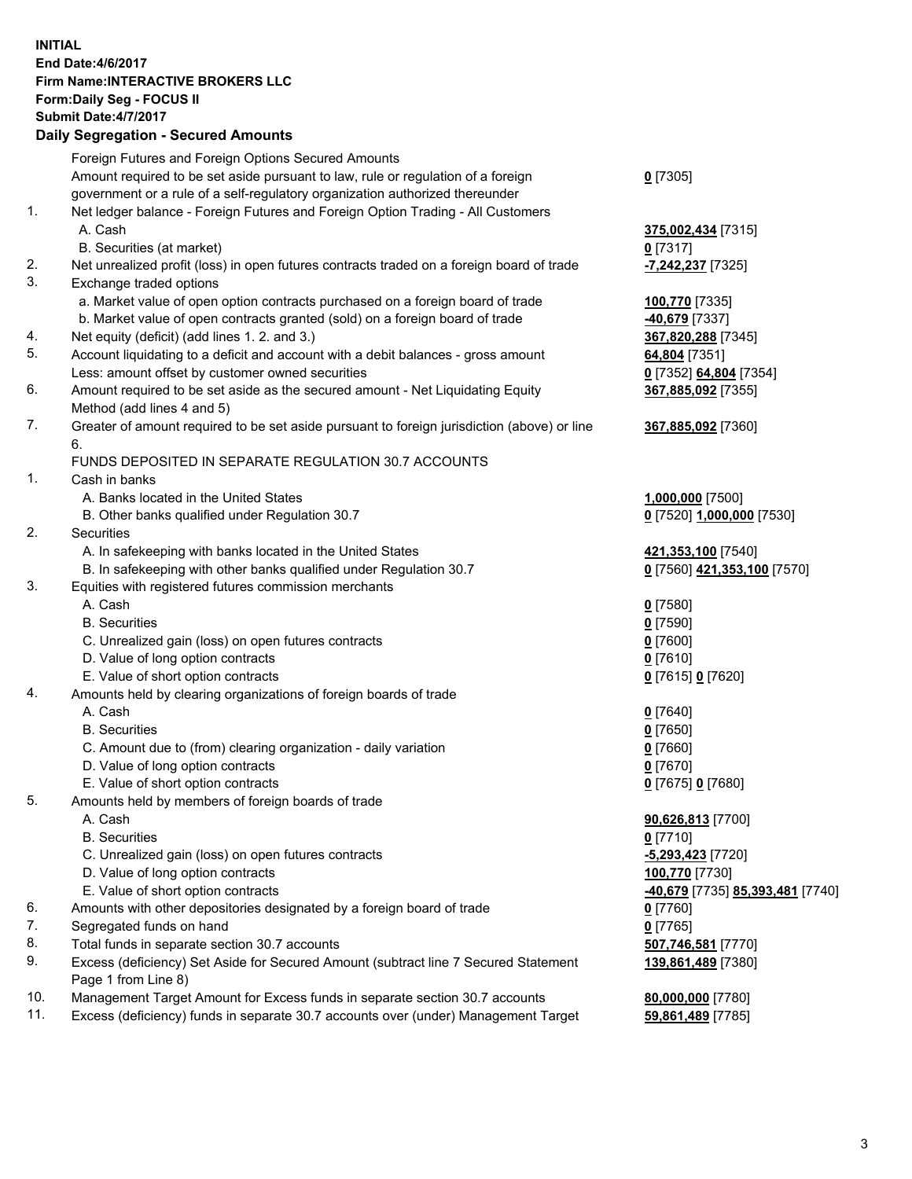## **INITIAL End Date:4/6/2017 Firm Name:INTERACTIVE BROKERS LLC Form:Daily Seg - FOCUS II Submit Date:4/7/2017 Daily Segregation - Secured Amounts**

|     | Foreign Futures and Foreign Options Secured Amounts                                         |                                  |
|-----|---------------------------------------------------------------------------------------------|----------------------------------|
|     | Amount required to be set aside pursuant to law, rule or regulation of a foreign            | $0$ [7305]                       |
|     | government or a rule of a self-regulatory organization authorized thereunder                |                                  |
| 1.  | Net ledger balance - Foreign Futures and Foreign Option Trading - All Customers             |                                  |
|     | A. Cash                                                                                     | 375,002,434 [7315]               |
|     | B. Securities (at market)                                                                   | $0$ [7317]                       |
| 2.  | Net unrealized profit (loss) in open futures contracts traded on a foreign board of trade   | -7,242,237 [7325]                |
| 3.  | Exchange traded options                                                                     |                                  |
|     | a. Market value of open option contracts purchased on a foreign board of trade              | 100,770 [7335]                   |
|     | b. Market value of open contracts granted (sold) on a foreign board of trade                | 40,679 [7337]                    |
| 4.  | Net equity (deficit) (add lines 1.2. and 3.)                                                | 367,820,288 [7345]               |
| 5.  | Account liquidating to a deficit and account with a debit balances - gross amount           | 64,804 [7351]                    |
|     | Less: amount offset by customer owned securities                                            | 0 [7352] 64,804 [7354]           |
| 6.  | Amount required to be set aside as the secured amount - Net Liquidating Equity              | 367,885,092 [7355]               |
|     | Method (add lines 4 and 5)                                                                  |                                  |
| 7.  | Greater of amount required to be set aside pursuant to foreign jurisdiction (above) or line | 367,885,092 [7360]               |
|     | 6.                                                                                          |                                  |
|     | FUNDS DEPOSITED IN SEPARATE REGULATION 30.7 ACCOUNTS                                        |                                  |
| 1.  | Cash in banks                                                                               |                                  |
|     | A. Banks located in the United States                                                       | 1,000,000 [7500]                 |
|     | B. Other banks qualified under Regulation 30.7                                              | 0 [7520] 1,000,000 [7530]        |
| 2.  | Securities                                                                                  |                                  |
|     | A. In safekeeping with banks located in the United States                                   |                                  |
|     |                                                                                             | 421,353,100 [7540]               |
| 3.  | B. In safekeeping with other banks qualified under Regulation 30.7                          | 0 [7560] 421,353,100 [7570]      |
|     | Equities with registered futures commission merchants                                       |                                  |
|     | A. Cash                                                                                     | $0$ [7580]                       |
|     | <b>B.</b> Securities                                                                        | $0$ [7590]                       |
|     | C. Unrealized gain (loss) on open futures contracts                                         | $0$ [7600]                       |
|     | D. Value of long option contracts                                                           | $0$ [7610]                       |
|     | E. Value of short option contracts                                                          | 0 [7615] 0 [7620]                |
| 4.  | Amounts held by clearing organizations of foreign boards of trade                           |                                  |
|     | A. Cash                                                                                     | $0$ [7640]                       |
|     | <b>B.</b> Securities                                                                        | $0$ [7650]                       |
|     | C. Amount due to (from) clearing organization - daily variation                             | $0$ [7660]                       |
|     | D. Value of long option contracts                                                           | $0$ [7670]                       |
|     | E. Value of short option contracts                                                          | 0 [7675] 0 [7680]                |
| 5.  | Amounts held by members of foreign boards of trade                                          |                                  |
|     | A. Cash                                                                                     | 90,626,813 [7700]                |
|     | <b>B.</b> Securities                                                                        | $0$ [7710]                       |
|     | C. Unrealized gain (loss) on open futures contracts                                         | -5,293,423 [7720]                |
|     | D. Value of long option contracts                                                           | 100,770 [7730]                   |
|     | E. Value of short option contracts                                                          | -40,679 [7735] 85,393,481 [7740] |
| 6.  | Amounts with other depositories designated by a foreign board of trade                      | 0 [7760]                         |
| 7.  | Segregated funds on hand                                                                    | $0$ [7765]                       |
| 8.  | Total funds in separate section 30.7 accounts                                               | 507,746,581 [7770]               |
| 9.  | Excess (deficiency) Set Aside for Secured Amount (subtract line 7 Secured Statement         | 139,861,489 [7380]               |
|     | Page 1 from Line 8)                                                                         |                                  |
| 10. | Management Target Amount for Excess funds in separate section 30.7 accounts                 | 80,000,000 [7780]                |
| 11. | Excess (deficiency) funds in separate 30.7 accounts over (under) Management Target          | 59,861,489 [7785]                |
|     |                                                                                             |                                  |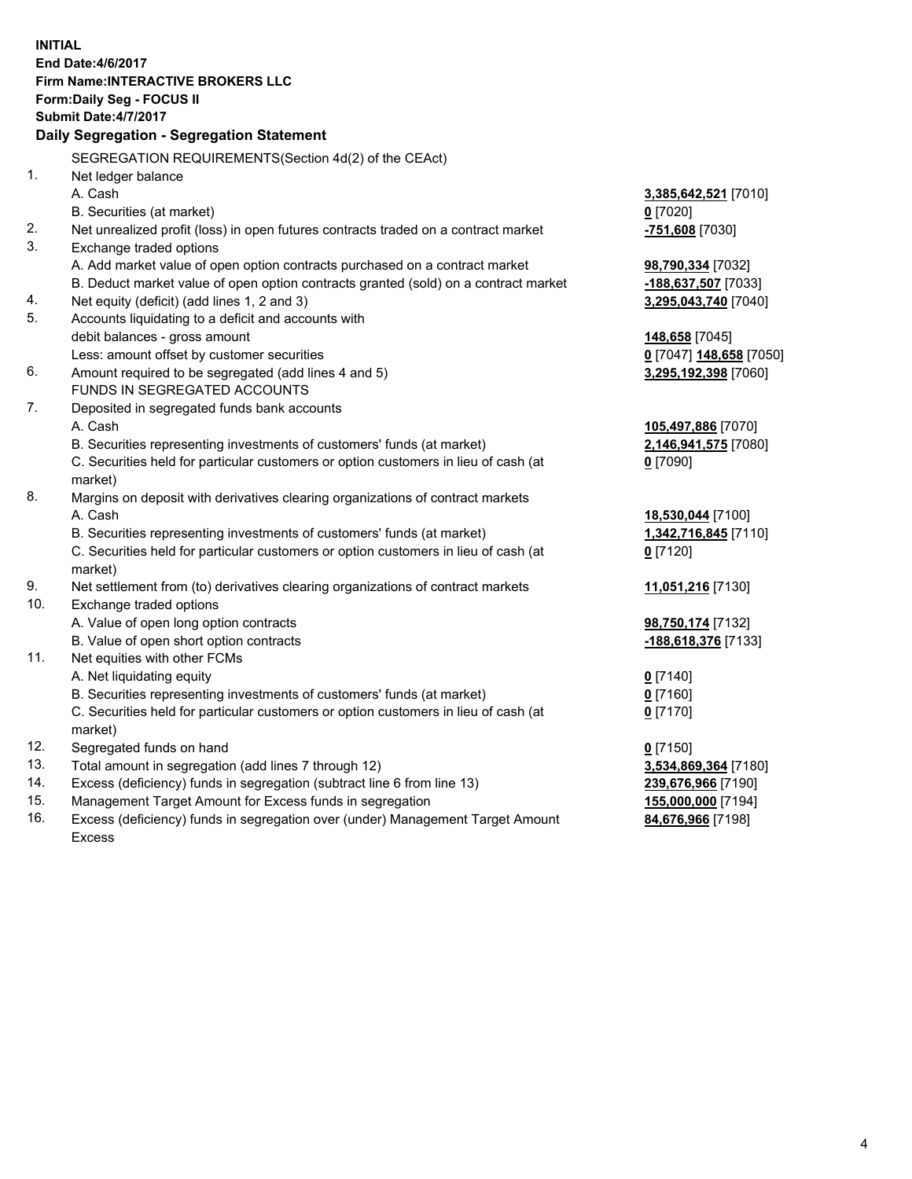**INITIAL End Date:4/6/2017 Firm Name:INTERACTIVE BROKERS LLC Form:Daily Seg - FOCUS II Submit Date:4/7/2017 Daily Segregation - Segregation Statement** SEGREGATION REQUIREMENTS(Section 4d(2) of the CEAct) 1. Net ledger balance A. Cash **3,385,642,521** [7010] B. Securities (at market) **0** [7020] 2. Net unrealized profit (loss) in open futures contracts traded on a contract market **-751,608** [7030] 3. Exchange traded options A. Add market value of open option contracts purchased on a contract market **98,790,334** [7032] B. Deduct market value of open option contracts granted (sold) on a contract market **-188,637,507** [7033] 4. Net equity (deficit) (add lines 1, 2 and 3) **3,295,043,740** [7040] 5. Accounts liquidating to a deficit and accounts with debit balances - gross amount **148,658** [7045] Less: amount offset by customer securities **0** [7047] **148,658** [7050] 6. Amount required to be segregated (add lines 4 and 5) **3,295,192,398** [7060] FUNDS IN SEGREGATED ACCOUNTS 7. Deposited in segregated funds bank accounts A. Cash **105,497,886** [7070] B. Securities representing investments of customers' funds (at market) **2,146,941,575** [7080] C. Securities held for particular customers or option customers in lieu of cash (at market) **0** [7090] 8. Margins on deposit with derivatives clearing organizations of contract markets A. Cash **18,530,044** [7100] B. Securities representing investments of customers' funds (at market) **1,342,716,845** [7110] C. Securities held for particular customers or option customers in lieu of cash (at market) **0** [7120] 9. Net settlement from (to) derivatives clearing organizations of contract markets **11,051,216** [7130] 10. Exchange traded options A. Value of open long option contracts **98,750,174** [7132] B. Value of open short option contracts **-188,618,376** [7133] 11. Net equities with other FCMs A. Net liquidating equity **0** [7140] B. Securities representing investments of customers' funds (at market) **0** [7160] C. Securities held for particular customers or option customers in lieu of cash (at market) **0** [7170] 12. Segregated funds on hand **0** [7150] 13. Total amount in segregation (add lines 7 through 12) **3,534,869,364** [7180] 14. Excess (deficiency) funds in segregation (subtract line 6 from line 13) **239,676,966** [7190] 15. Management Target Amount for Excess funds in segregation **155,000,000** [7194] 16. Excess (deficiency) funds in segregation over (under) Management Target Amount **84,676,966** [7198]

Excess